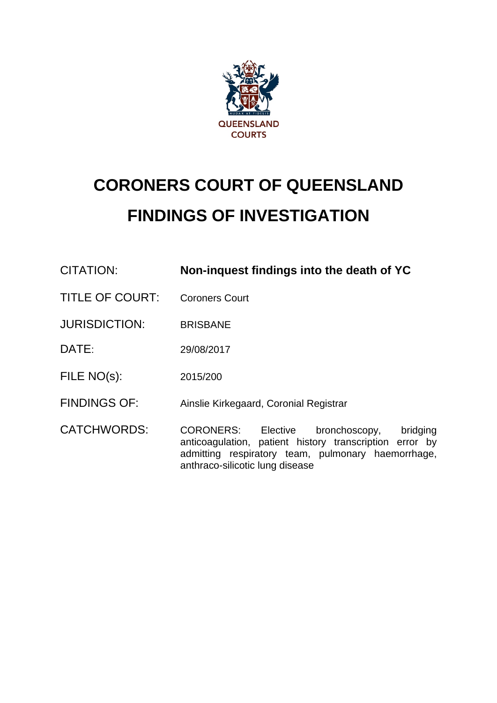

# **CORONERS COURT OF QUEENSLAND FINDINGS OF INVESTIGATION**

| CITATION:              | Non-inquest findings into the death of YC                                                                                                                                                        |
|------------------------|--------------------------------------------------------------------------------------------------------------------------------------------------------------------------------------------------|
| <b>TITLE OF COURT:</b> | <b>Coroners Court</b>                                                                                                                                                                            |
| <b>JURISDICTION:</b>   | <b>BRISBANE</b>                                                                                                                                                                                  |
| DATE:                  | 29/08/2017                                                                                                                                                                                       |
| FILE NO(s):            | 2015/200                                                                                                                                                                                         |
| <b>FINDINGS OF:</b>    | Ainslie Kirkegaard, Coronial Registrar                                                                                                                                                           |
| <b>CATCHWORDS:</b>     | CORONERS: Elective bronchoscopy,<br>bridging<br>anticoagulation, patient history transcription error by<br>admitting respiratory team, pulmonary haemorrhage,<br>anthraco-silicotic lung disease |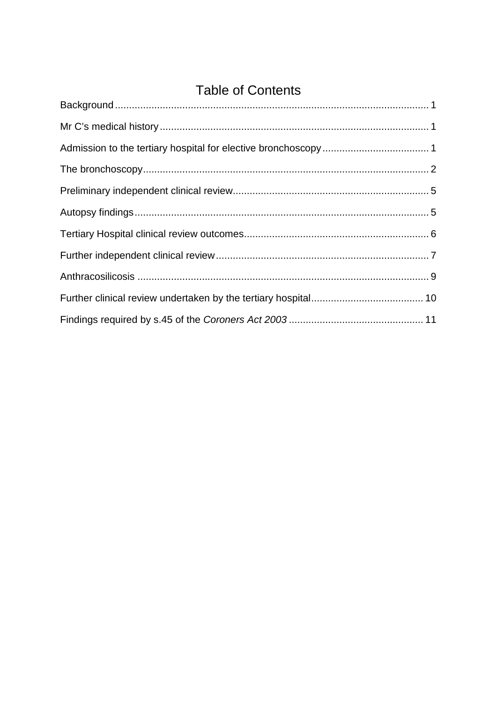# **Table of Contents**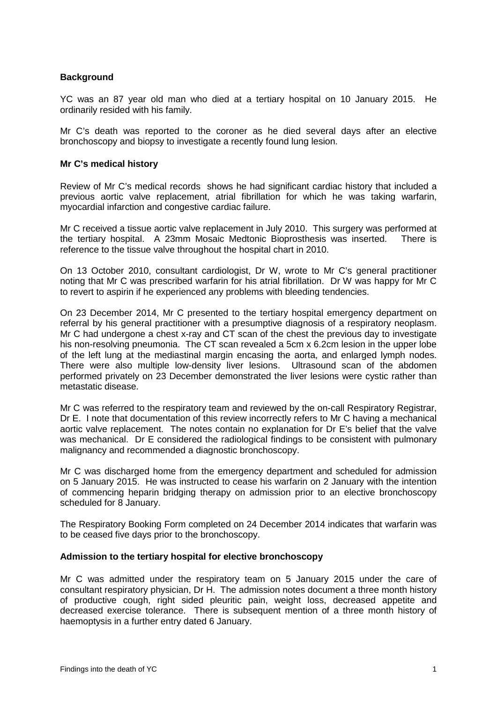# <span id="page-2-0"></span>**Background**

YC was an 87 year old man who died at a tertiary hospital on 10 January 2015. He ordinarily resided with his family.

Mr C's death was reported to the coroner as he died several days after an elective bronchoscopy and biopsy to investigate a recently found lung lesion.

#### <span id="page-2-1"></span>**Mr C's medical history**

Review of Mr C's medical records shows he had significant cardiac history that included a previous aortic valve replacement, atrial fibrillation for which he was taking warfarin, myocardial infarction and congestive cardiac failure.

Mr C received a tissue aortic valve replacement in July 2010. This surgery was performed at the tertiary hospital. A 23mm Mosaic Medtonic Bioprosthesis was inserted. There is reference to the tissue valve throughout the hospital chart in 2010.

On 13 October 2010, consultant cardiologist, Dr W, wrote to Mr C's general practitioner noting that Mr C was prescribed warfarin for his atrial fibrillation. Dr W was happy for Mr C to revert to aspirin if he experienced any problems with bleeding tendencies.

On 23 December 2014, Mr C presented to the tertiary hospital emergency department on referral by his general practitioner with a presumptive diagnosis of a respiratory neoplasm. Mr C had undergone a chest x-ray and CT scan of the chest the previous day to investigate his non-resolving pneumonia. The CT scan revealed a 5cm x 6.2cm lesion in the upper lobe of the left lung at the mediastinal margin encasing the aorta, and enlarged lymph nodes. There were also multiple low-density liver lesions. Ultrasound scan of the abdomen performed privately on 23 December demonstrated the liver lesions were cystic rather than metastatic disease.

Mr C was referred to the respiratory team and reviewed by the on-call Respiratory Registrar, Dr E. I note that documentation of this review incorrectly refers to Mr C having a mechanical aortic valve replacement. The notes contain no explanation for Dr E's belief that the valve was mechanical. Dr E considered the radiological findings to be consistent with pulmonary malignancy and recommended a diagnostic bronchoscopy.

Mr C was discharged home from the emergency department and scheduled for admission on 5 January 2015. He was instructed to cease his warfarin on 2 January with the intention of commencing heparin bridging therapy on admission prior to an elective bronchoscopy scheduled for 8 January.

The Respiratory Booking Form completed on 24 December 2014 indicates that warfarin was to be ceased five days prior to the bronchoscopy.

# <span id="page-2-2"></span>**Admission to the tertiary hospital for elective bronchoscopy**

Mr C was admitted under the respiratory team on 5 January 2015 under the care of consultant respiratory physician, Dr H. The admission notes document a three month history of productive cough, right sided pleuritic pain, weight loss, decreased appetite and decreased exercise tolerance. There is subsequent mention of a three month history of haemoptysis in a further entry dated 6 January.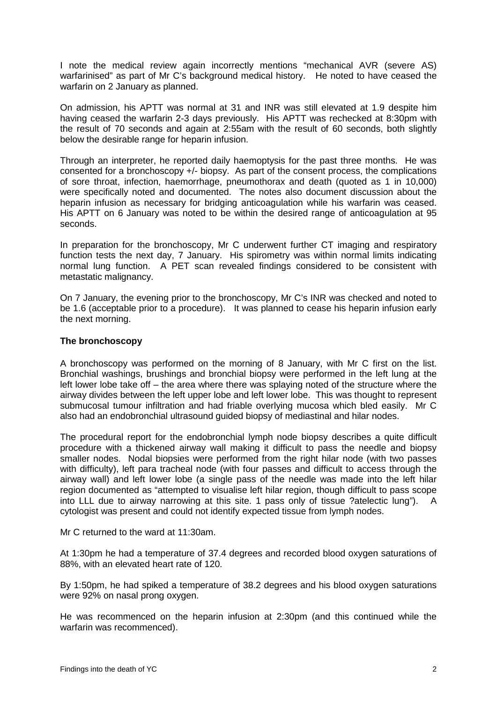I note the medical review again incorrectly mentions "mechanical AVR (severe AS) warfarinised" as part of Mr C's background medical history. He noted to have ceased the warfarin on 2 January as planned.

On admission, his APTT was normal at 31 and INR was still elevated at 1.9 despite him having ceased the warfarin 2-3 days previously. His APTT was rechecked at 8:30pm with the result of 70 seconds and again at 2:55am with the result of 60 seconds, both slightly below the desirable range for heparin infusion.

Through an interpreter, he reported daily haemoptysis for the past three months. He was consented for a bronchoscopy +/- biopsy. As part of the consent process, the complications of sore throat, infection, haemorrhage, pneumothorax and death (quoted as 1 in 10,000) were specifically noted and documented. The notes also document discussion about the heparin infusion as necessary for bridging anticoagulation while his warfarin was ceased. His APTT on 6 January was noted to be within the desired range of anticoagulation at 95 seconds.

In preparation for the bronchoscopy, Mr C underwent further CT imaging and respiratory function tests the next day, 7 January. His spirometry was within normal limits indicating normal lung function. A PET scan revealed findings considered to be consistent with metastatic malignancy.

On 7 January, the evening prior to the bronchoscopy, Mr C's INR was checked and noted to be 1.6 (acceptable prior to a procedure). It was planned to cease his heparin infusion early the next morning.

# <span id="page-3-0"></span>**The bronchoscopy**

A bronchoscopy was performed on the morning of 8 January, with Mr C first on the list. Bronchial washings, brushings and bronchial biopsy were performed in the left lung at the left lower lobe take off – the area where there was splaying noted of the structure where the airway divides between the left upper lobe and left lower lobe. This was thought to represent submucosal tumour infiltration and had friable overlying mucosa which bled easily. Mr C also had an endobronchial ultrasound guided biopsy of mediastinal and hilar nodes.

The procedural report for the endobronchial lymph node biopsy describes a quite difficult procedure with a thickened airway wall making it difficult to pass the needle and biopsy smaller nodes. Nodal biopsies were performed from the right hilar node (with two passes with difficulty), left para tracheal node (with four passes and difficult to access through the airway wall) and left lower lobe (a single pass of the needle was made into the left hilar region documented as "attempted to visualise left hilar region, though difficult to pass scope into LLL due to airway narrowing at this site. 1 pass only of tissue ?atelectic lung"). A cytologist was present and could not identify expected tissue from lymph nodes.

Mr C returned to the ward at 11:30am.

At 1:30pm he had a temperature of 37.4 degrees and recorded blood oxygen saturations of 88%, with an elevated heart rate of 120.

By 1:50pm, he had spiked a temperature of 38.2 degrees and his blood oxygen saturations were 92% on nasal prong oxygen.

He was recommenced on the heparin infusion at 2:30pm (and this continued while the warfarin was recommenced).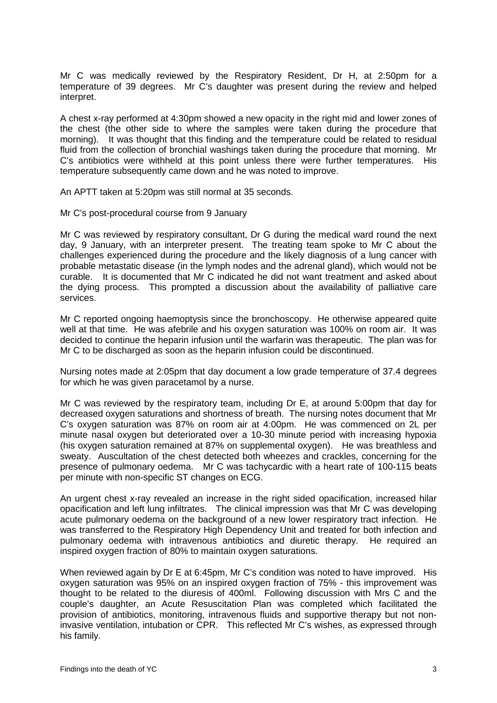Mr C was medically reviewed by the Respiratory Resident, Dr H, at 2:50pm for a temperature of 39 degrees. Mr C's daughter was present during the review and helped interpret.

A chest x-ray performed at 4:30pm showed a new opacity in the right mid and lower zones of the chest (the other side to where the samples were taken during the procedure that morning). It was thought that this finding and the temperature could be related to residual fluid from the collection of bronchial washings taken during the procedure that morning. Mr C's antibiotics were withheld at this point unless there were further temperatures. His temperature subsequently came down and he was noted to improve.

An APTT taken at 5:20pm was still normal at 35 seconds.

#### Mr C's post-procedural course from 9 January

Mr C was reviewed by respiratory consultant, Dr G during the medical ward round the next day, 9 January, with an interpreter present. The treating team spoke to Mr C about the challenges experienced during the procedure and the likely diagnosis of a lung cancer with probable metastatic disease (in the lymph nodes and the adrenal gland), which would not be curable. It is documented that Mr C indicated he did not want treatment and asked about the dying process. This prompted a discussion about the availability of palliative care services.

Mr C reported ongoing haemoptysis since the bronchoscopy. He otherwise appeared quite well at that time. He was afebrile and his oxygen saturation was 100% on room air. It was decided to continue the heparin infusion until the warfarin was therapeutic. The plan was for Mr C to be discharged as soon as the heparin infusion could be discontinued.

Nursing notes made at 2:05pm that day document a low grade temperature of 37.4 degrees for which he was given paracetamol by a nurse.

Mr C was reviewed by the respiratory team, including Dr E, at around 5:00pm that day for decreased oxygen saturations and shortness of breath. The nursing notes document that Mr C's oxygen saturation was 87% on room air at 4:00pm. He was commenced on 2L per minute nasal oxygen but deteriorated over a 10-30 minute period with increasing hypoxia (his oxygen saturation remained at 87% on supplemental oxygen). He was breathless and sweaty. Auscultation of the chest detected both wheezes and crackles, concerning for the presence of pulmonary oedema. Mr C was tachycardic with a heart rate of 100-115 beats per minute with non-specific ST changes on ECG.

An urgent chest x-ray revealed an increase in the right sided opacification, increased hilar opacification and left lung infiltrates. The clinical impression was that Mr C was developing acute pulmonary oedema on the background of a new lower respiratory tract infection. He was transferred to the Respiratory High Dependency Unit and treated for both infection and pulmonary oedema with intravenous antibiotics and diuretic therapy. He required an inspired oxygen fraction of 80% to maintain oxygen saturations.

When reviewed again by Dr E at 6:45pm, Mr C's condition was noted to have improved. His oxygen saturation was 95% on an inspired oxygen fraction of 75% - this improvement was thought to be related to the diuresis of 400ml. Following discussion with Mrs C and the couple's daughter, an Acute Resuscitation Plan was completed which facilitated the provision of antibiotics, monitoring, intravenous fluids and supportive therapy but not noninvasive ventilation, intubation or CPR. This reflected Mr C's wishes, as expressed through his family.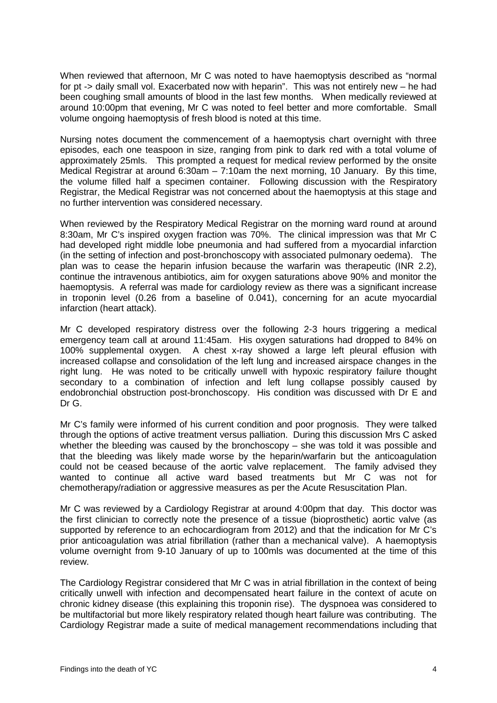When reviewed that afternoon, Mr C was noted to have haemoptysis described as "normal for pt -> daily small vol. Exacerbated now with heparin". This was not entirely new – he had been coughing small amounts of blood in the last few months. When medically reviewed at around 10:00pm that evening, Mr C was noted to feel better and more comfortable. Small volume ongoing haemoptysis of fresh blood is noted at this time.

Nursing notes document the commencement of a haemoptysis chart overnight with three episodes, each one teaspoon in size, ranging from pink to dark red with a total volume of approximately 25mls. This prompted a request for medical review performed by the onsite Medical Registrar at around 6:30am  $-7:10$ am the next morning, 10 January. By this time, the volume filled half a specimen container. Following discussion with the Respiratory Registrar, the Medical Registrar was not concerned about the haemoptysis at this stage and no further intervention was considered necessary.

When reviewed by the Respiratory Medical Registrar on the morning ward round at around 8:30am, Mr C's inspired oxygen fraction was 70%. The clinical impression was that Mr C had developed right middle lobe pneumonia and had suffered from a myocardial infarction (in the setting of infection and post-bronchoscopy with associated pulmonary oedema). The plan was to cease the heparin infusion because the warfarin was therapeutic (INR 2.2), continue the intravenous antibiotics, aim for oxygen saturations above 90% and monitor the haemoptysis. A referral was made for cardiology review as there was a significant increase in troponin level (0.26 from a baseline of 0.041), concerning for an acute myocardial infarction (heart attack).

Mr C developed respiratory distress over the following 2-3 hours triggering a medical emergency team call at around 11:45am. His oxygen saturations had dropped to 84% on 100% supplemental oxygen. A chest x-ray showed a large left pleural effusion with increased collapse and consolidation of the left lung and increased airspace changes in the right lung. He was noted to be critically unwell with hypoxic respiratory failure thought secondary to a combination of infection and left lung collapse possibly caused by endobronchial obstruction post-bronchoscopy. His condition was discussed with Dr E and Dr G.

Mr C's family were informed of his current condition and poor prognosis. They were talked through the options of active treatment versus palliation. During this discussion Mrs C asked whether the bleeding was caused by the bronchoscopy – she was told it was possible and that the bleeding was likely made worse by the heparin/warfarin but the anticoagulation could not be ceased because of the aortic valve replacement. The family advised they wanted to continue all active ward based treatments but Mr C was not for chemotherapy/radiation or aggressive measures as per the Acute Resuscitation Plan.

Mr C was reviewed by a Cardiology Registrar at around 4:00pm that day. This doctor was the first clinician to correctly note the presence of a tissue (bioprosthetic) aortic valve (as supported by reference to an echocardiogram from 2012) and that the indication for Mr C's prior anticoagulation was atrial fibrillation (rather than a mechanical valve). A haemoptysis volume overnight from 9-10 January of up to 100mls was documented at the time of this review.

The Cardiology Registrar considered that Mr C was in atrial fibrillation in the context of being critically unwell with infection and decompensated heart failure in the context of acute on chronic kidney disease (this explaining this troponin rise). The dyspnoea was considered to be multifactorial but more likely respiratory related though heart failure was contributing. The Cardiology Registrar made a suite of medical management recommendations including that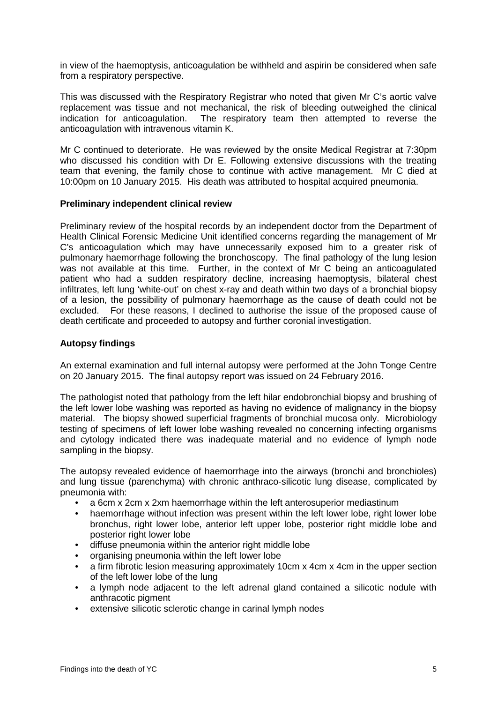in view of the haemoptysis, anticoagulation be withheld and aspirin be considered when safe from a respiratory perspective.

This was discussed with the Respiratory Registrar who noted that given Mr C's aortic valve replacement was tissue and not mechanical, the risk of bleeding outweighed the clinical indication for anticoagulation. The respiratory team then attempted to reverse the anticoagulation with intravenous vitamin K.

Mr C continued to deteriorate. He was reviewed by the onsite Medical Registrar at 7:30pm who discussed his condition with Dr E. Following extensive discussions with the treating team that evening, the family chose to continue with active management. Mr C died at 10:00pm on 10 January 2015. His death was attributed to hospital acquired pneumonia.

#### <span id="page-6-0"></span>**Preliminary independent clinical review**

Preliminary review of the hospital records by an independent doctor from the Department of Health Clinical Forensic Medicine Unit identified concerns regarding the management of Mr C's anticoagulation which may have unnecessarily exposed him to a greater risk of pulmonary haemorrhage following the bronchoscopy. The final pathology of the lung lesion was not available at this time. Further, in the context of Mr C being an anticoagulated patient who had a sudden respiratory decline, increasing haemoptysis, bilateral chest infiltrates, left lung 'white-out' on chest x-ray and death within two days of a bronchial biopsy of a lesion, the possibility of pulmonary haemorrhage as the cause of death could not be excluded. For these reasons, I declined to authorise the issue of the proposed cause of death certificate and proceeded to autopsy and further coronial investigation.

#### <span id="page-6-1"></span>**Autopsy findings**

An external examination and full internal autopsy were performed at the John Tonge Centre on 20 January 2015. The final autopsy report was issued on 24 February 2016.

The pathologist noted that pathology from the left hilar endobronchial biopsy and brushing of the left lower lobe washing was reported as having no evidence of malignancy in the biopsy material. The biopsy showed superficial fragments of bronchial mucosa only. Microbiology testing of specimens of left lower lobe washing revealed no concerning infecting organisms and cytology indicated there was inadequate material and no evidence of lymph node sampling in the biopsy.

The autopsy revealed evidence of haemorrhage into the airways (bronchi and bronchioles) and lung tissue (parenchyma) with chronic anthraco-silicotic lung disease, complicated by pneumonia with:

- a 6cm x 2cm x 2xm haemorrhage within the left anterosuperior mediastinum
- haemorrhage without infection was present within the left lower lobe, right lower lobe bronchus, right lower lobe, anterior left upper lobe, posterior right middle lobe and posterior right lower lobe
- diffuse pneumonia within the anterior right middle lobe
- organising pneumonia within the left lower lobe
- a firm fibrotic lesion measuring approximately 10cm x 4cm x 4cm in the upper section of the left lower lobe of the lung
- a lymph node adjacent to the left adrenal gland contained a silicotic nodule with anthracotic pigment
- extensive silicotic sclerotic change in carinal lymph nodes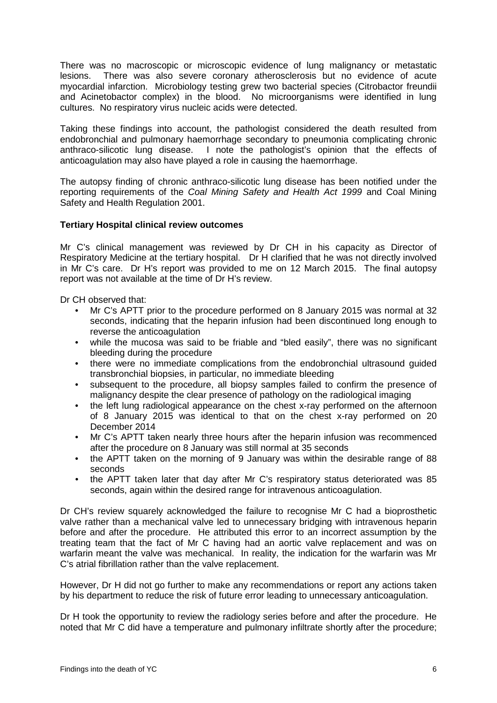There was no macroscopic or microscopic evidence of lung malignancy or metastatic lesions. There was also severe coronary atherosclerosis but no evidence of acute myocardial infarction. Microbiology testing grew two bacterial species (Citrobactor freundii and Acinetobactor complex) in the blood. No microorganisms were identified in lung cultures. No respiratory virus nucleic acids were detected.

Taking these findings into account, the pathologist considered the death resulted from endobronchial and pulmonary haemorrhage secondary to pneumonia complicating chronic anthraco-silicotic lung disease. I note the pathologist's opinion that the effects of anticoagulation may also have played a role in causing the haemorrhage.

The autopsy finding of chronic anthraco-silicotic lung disease has been notified under the reporting requirements of the *Coal Mining Safety and Health Act 1999* and Coal Mining Safety and Health Regulation 2001.

# <span id="page-7-0"></span>**Tertiary Hospital clinical review outcomes**

Mr C's clinical management was reviewed by Dr CH in his capacity as Director of Respiratory Medicine at the tertiary hospital. Dr H clarified that he was not directly involved in Mr C's care. Dr H's report was provided to me on 12 March 2015. The final autopsy report was not available at the time of Dr H's review.

Dr CH observed that:

- Mr C's APTT prior to the procedure performed on 8 January 2015 was normal at 32 seconds, indicating that the heparin infusion had been discontinued long enough to reverse the anticoagulation
- while the mucosa was said to be friable and "bled easily", there was no significant bleeding during the procedure
- there were no immediate complications from the endobronchial ultrasound guided transbronchial biopsies, in particular, no immediate bleeding
- subsequent to the procedure, all biopsy samples failed to confirm the presence of malignancy despite the clear presence of pathology on the radiological imaging
- the left lung radiological appearance on the chest x-ray performed on the afternoon of 8 January 2015 was identical to that on the chest x-ray performed on 20 December 2014
- Mr C's APTT taken nearly three hours after the heparin infusion was recommenced after the procedure on 8 January was still normal at 35 seconds
- the APTT taken on the morning of 9 January was within the desirable range of 88 seconds
- the APTT taken later that day after Mr C's respiratory status deteriorated was 85 seconds, again within the desired range for intravenous anticoagulation.

Dr CH's review squarely acknowledged the failure to recognise Mr C had a bioprosthetic valve rather than a mechanical valve led to unnecessary bridging with intravenous heparin before and after the procedure. He attributed this error to an incorrect assumption by the treating team that the fact of Mr C having had an aortic valve replacement and was on warfarin meant the valve was mechanical. In reality, the indication for the warfarin was Mr C's atrial fibrillation rather than the valve replacement.

However, Dr H did not go further to make any recommendations or report any actions taken by his department to reduce the risk of future error leading to unnecessary anticoagulation.

Dr H took the opportunity to review the radiology series before and after the procedure. He noted that Mr C did have a temperature and pulmonary infiltrate shortly after the procedure;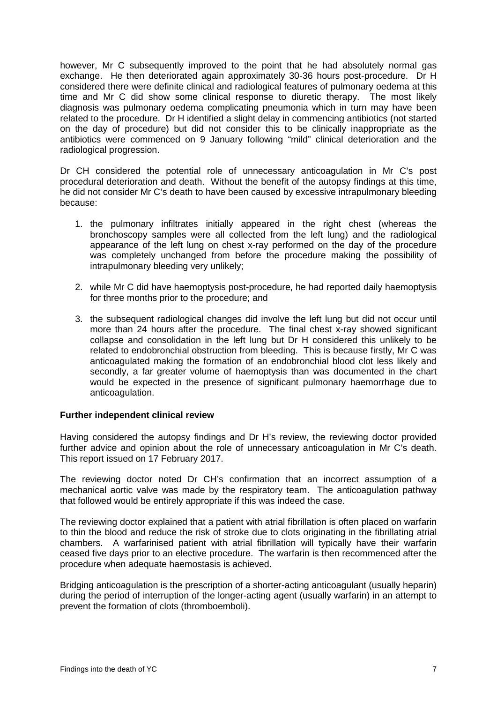however, Mr C subsequently improved to the point that he had absolutely normal gas exchange. He then deteriorated again approximately 30-36 hours post-procedure. Dr H considered there were definite clinical and radiological features of pulmonary oedema at this time and Mr C did show some clinical response to diuretic therapy. The most likely diagnosis was pulmonary oedema complicating pneumonia which in turn may have been related to the procedure. Dr H identified a slight delay in commencing antibiotics (not started on the day of procedure) but did not consider this to be clinically inappropriate as the antibiotics were commenced on 9 January following "mild" clinical deterioration and the radiological progression.

Dr CH considered the potential role of unnecessary anticoagulation in Mr C's post procedural deterioration and death. Without the benefit of the autopsy findings at this time, he did not consider Mr C's death to have been caused by excessive intrapulmonary bleeding because:

- 1. the pulmonary infiltrates initially appeared in the right chest (whereas the bronchoscopy samples were all collected from the left lung) and the radiological appearance of the left lung on chest x-ray performed on the day of the procedure was completely unchanged from before the procedure making the possibility of intrapulmonary bleeding very unlikely;
- 2. while Mr C did have haemoptysis post-procedure, he had reported daily haemoptysis for three months prior to the procedure; and
- 3. the subsequent radiological changes did involve the left lung but did not occur until more than 24 hours after the procedure. The final chest x-ray showed significant collapse and consolidation in the left lung but Dr H considered this unlikely to be related to endobronchial obstruction from bleeding. This is because firstly, Mr C was anticoagulated making the formation of an endobronchial blood clot less likely and secondly, a far greater volume of haemoptysis than was documented in the chart would be expected in the presence of significant pulmonary haemorrhage due to anticoagulation.

# <span id="page-8-0"></span>**Further independent clinical review**

Having considered the autopsy findings and Dr H's review, the reviewing doctor provided further advice and opinion about the role of unnecessary anticoagulation in Mr C's death. This report issued on 17 February 2017.

The reviewing doctor noted Dr CH's confirmation that an incorrect assumption of a mechanical aortic valve was made by the respiratory team. The anticoagulation pathway that followed would be entirely appropriate if this was indeed the case.

The reviewing doctor explained that a patient with atrial fibrillation is often placed on warfarin to thin the blood and reduce the risk of stroke due to clots originating in the fibrillating atrial chambers. A warfarinised patient with atrial fibrillation will typically have their warfarin ceased five days prior to an elective procedure. The warfarin is then recommenced after the procedure when adequate haemostasis is achieved.

Bridging anticoagulation is the prescription of a shorter-acting anticoagulant (usually heparin) during the period of interruption of the longer-acting agent (usually warfarin) in an attempt to prevent the formation of clots (thromboemboli).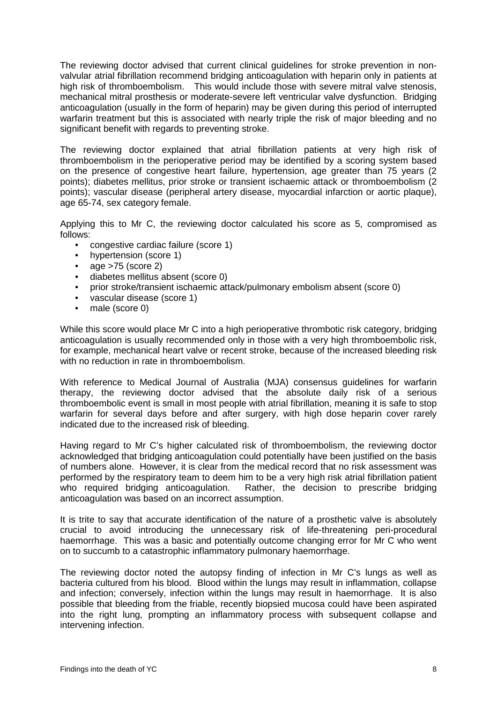The reviewing doctor advised that current clinical guidelines for stroke prevention in nonvalvular atrial fibrillation recommend bridging anticoagulation with heparin only in patients at high risk of thromboembolism. This would include those with severe mitral valve stenosis, mechanical mitral prosthesis or moderate-severe left ventricular valve dysfunction. Bridging anticoagulation (usually in the form of heparin) may be given during this period of interrupted warfarin treatment but this is associated with nearly triple the risk of major bleeding and no significant benefit with regards to preventing stroke.

The reviewing doctor explained that atrial fibrillation patients at very high risk of thromboembolism in the perioperative period may be identified by a scoring system based on the presence of congestive heart failure, hypertension, age greater than 75 years (2 points); diabetes mellitus, prior stroke or transient ischaemic attack or thromboembolism (2 points); vascular disease (peripheral artery disease, myocardial infarction or aortic plaque), age 65-74, sex category female.

Applying this to Mr C, the reviewing doctor calculated his score as 5, compromised as follows:

- congestive cardiac failure (score 1)<br>• hypertension (score 1)
- hypertension (score 1)
- age >75 (score 2)
- 
- diabetes mellitus absent (score 0)<br>• nrior stroke/transient ischaemic att • prior stroke/transient ischaemic attack/pulmonary embolism absent (score 0)
- vascular disease (score 1)
- male (score 0)

While this score would place Mr C into a high perioperative thrombotic risk category, bridging anticoagulation is usually recommended only in those with a very high thromboembolic risk, for example, mechanical heart valve or recent stroke, because of the increased bleeding risk with no reduction in rate in thromboembolism.

With reference to Medical Journal of Australia (MJA) consensus guidelines for warfarin therapy, the reviewing doctor advised that the absolute daily risk of a serious thromboembolic event is small in most people with atrial fibrillation, meaning it is safe to stop warfarin for several days before and after surgery, with high dose heparin cover rarely indicated due to the increased risk of bleeding.

Having regard to Mr C's higher calculated risk of thromboembolism, the reviewing doctor acknowledged that bridging anticoagulation could potentially have been justified on the basis of numbers alone. However, it is clear from the medical record that no risk assessment was performed by the respiratory team to deem him to be a very high risk atrial fibrillation patient<br>who required bridging anticoagulation. Rather, the decision to prescribe bridging Rather, the decision to prescribe bridging anticoagulation was based on an incorrect assumption.

It is trite to say that accurate identification of the nature of a prosthetic valve is absolutely crucial to avoid introducing the unnecessary risk of life-threatening peri-procedural haemorrhage. This was a basic and potentially outcome changing error for Mr C who went on to succumb to a catastrophic inflammatory pulmonary haemorrhage.

The reviewing doctor noted the autopsy finding of infection in Mr C's lungs as well as bacteria cultured from his blood. Blood within the lungs may result in inflammation, collapse and infection; conversely, infection within the lungs may result in haemorrhage. It is also possible that bleeding from the friable, recently biopsied mucosa could have been aspirated into the right lung, prompting an inflammatory process with subsequent collapse and intervening infection.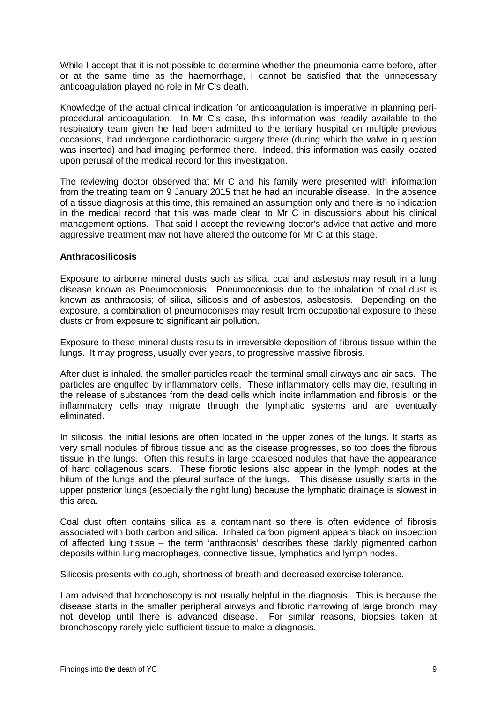While I accept that it is not possible to determine whether the pneumonia came before, after or at the same time as the haemorrhage, I cannot be satisfied that the unnecessary anticoagulation played no role in Mr C's death.

Knowledge of the actual clinical indication for anticoagulation is imperative in planning periprocedural anticoagulation. In Mr C's case, this information was readily available to the respiratory team given he had been admitted to the tertiary hospital on multiple previous occasions, had undergone cardiothoracic surgery there (during which the valve in question was inserted) and had imaging performed there. Indeed, this information was easily located upon perusal of the medical record for this investigation.

The reviewing doctor observed that Mr C and his family were presented with information from the treating team on 9 January 2015 that he had an incurable disease. In the absence of a tissue diagnosis at this time, this remained an assumption only and there is no indication in the medical record that this was made clear to Mr C in discussions about his clinical management options. That said I accept the reviewing doctor's advice that active and more aggressive treatment may not have altered the outcome for Mr C at this stage.

#### <span id="page-10-0"></span>**Anthracosilicosis**

Exposure to airborne mineral dusts such as silica, coal and asbestos may result in a lung disease known as Pneumoconiosis. Pneumoconiosis due to the inhalation of coal dust is known as anthracosis; of silica, silicosis and of asbestos, asbestosis. Depending on the exposure, a combination of pneumoconises may result from occupational exposure to these dusts or from exposure to significant air pollution.

Exposure to these mineral dusts results in irreversible deposition of fibrous tissue within the lungs. It may progress, usually over years, to progressive massive fibrosis.

After dust is inhaled, the smaller particles reach the terminal small airways and air sacs. The particles are engulfed by inflammatory cells. These inflammatory cells may die, resulting in the release of substances from the dead cells which incite inflammation and fibrosis; or the inflammatory cells may migrate through the lymphatic systems and are eventually eliminated.

In silicosis, the initial lesions are often located in the upper zones of the lungs. It starts as very small nodules of fibrous tissue and as the disease progresses, so too does the fibrous tissue in the lungs. Often this results in large coalesced nodules that have the appearance of hard collagenous scars. These fibrotic lesions also appear in the lymph nodes at the hilum of the lungs and the pleural surface of the lungs. This disease usually starts in the upper posterior lungs (especially the right lung) because the lymphatic drainage is slowest in this area.

Coal dust often contains silica as a contaminant so there is often evidence of fibrosis associated with both carbon and silica. Inhaled carbon pigment appears black on inspection of affected lung tissue – the term 'anthracosis' describes these darkly pigmented carbon deposits within lung macrophages, connective tissue, lymphatics and lymph nodes.

Silicosis presents with cough, shortness of breath and decreased exercise tolerance.

I am advised that bronchoscopy is not usually helpful in the diagnosis. This is because the disease starts in the smaller peripheral airways and fibrotic narrowing of large bronchi may not develop until there is advanced disease. For similar reasons, biopsies taken at bronchoscopy rarely yield sufficient tissue to make a diagnosis.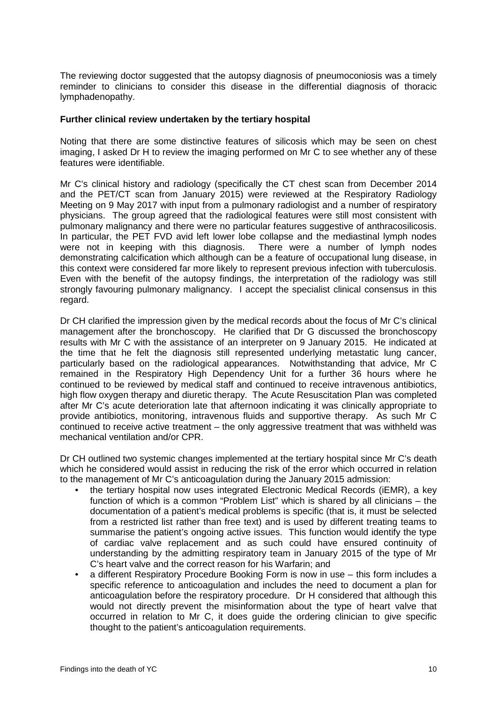The reviewing doctor suggested that the autopsy diagnosis of pneumoconiosis was a timely reminder to clinicians to consider this disease in the differential diagnosis of thoracic lymphadenopathy.

#### <span id="page-11-0"></span>**Further clinical review undertaken by the tertiary hospital**

Noting that there are some distinctive features of silicosis which may be seen on chest imaging, I asked Dr H to review the imaging performed on Mr C to see whether any of these features were identifiable.

Mr C's clinical history and radiology (specifically the CT chest scan from December 2014 and the PET/CT scan from January 2015) were reviewed at the Respiratory Radiology Meeting on 9 May 2017 with input from a pulmonary radiologist and a number of respiratory physicians. The group agreed that the radiological features were still most consistent with pulmonary malignancy and there were no particular features suggestive of anthracosilicosis. In particular, the PET FVD avid left lower lobe collapse and the mediastinal lymph nodes were not in keeping with this diagnosis. There were a number of lymph nodes demonstrating calcification which although can be a feature of occupational lung disease, in this context were considered far more likely to represent previous infection with tuberculosis. Even with the benefit of the autopsy findings, the interpretation of the radiology was still strongly favouring pulmonary malignancy. I accept the specialist clinical consensus in this regard.

Dr CH clarified the impression given by the medical records about the focus of Mr C's clinical management after the bronchoscopy. He clarified that Dr G discussed the bronchoscopy results with Mr C with the assistance of an interpreter on 9 January 2015. He indicated at the time that he felt the diagnosis still represented underlying metastatic lung cancer, particularly based on the radiological appearances. Notwithstanding that advice, Mr C remained in the Respiratory High Dependency Unit for a further 36 hours where he continued to be reviewed by medical staff and continued to receive intravenous antibiotics, high flow oxygen therapy and diuretic therapy. The Acute Resuscitation Plan was completed after Mr C's acute deterioration late that afternoon indicating it was clinically appropriate to provide antibiotics, monitoring, intravenous fluids and supportive therapy. As such Mr C continued to receive active treatment – the only aggressive treatment that was withheld was mechanical ventilation and/or CPR.

Dr CH outlined two systemic changes implemented at the tertiary hospital since Mr C's death which he considered would assist in reducing the risk of the error which occurred in relation to the management of Mr C's anticoagulation during the January 2015 admission:

- the tertiary hospital now uses integrated Electronic Medical Records (iEMR), a key function of which is a common "Problem List" which is shared by all clinicians – the documentation of a patient's medical problems is specific (that is, it must be selected from a restricted list rather than free text) and is used by different treating teams to summarise the patient's ongoing active issues. This function would identify the type of cardiac valve replacement and as such could have ensured continuity of understanding by the admitting respiratory team in January 2015 of the type of Mr C's heart valve and the correct reason for his Warfarin; and
- a different Respiratory Procedure Booking Form is now in use this form includes a specific reference to anticoagulation and includes the need to document a plan for anticoagulation before the respiratory procedure. Dr H considered that although this would not directly prevent the misinformation about the type of heart valve that occurred in relation to Mr C, it does guide the ordering clinician to give specific thought to the patient's anticoagulation requirements.